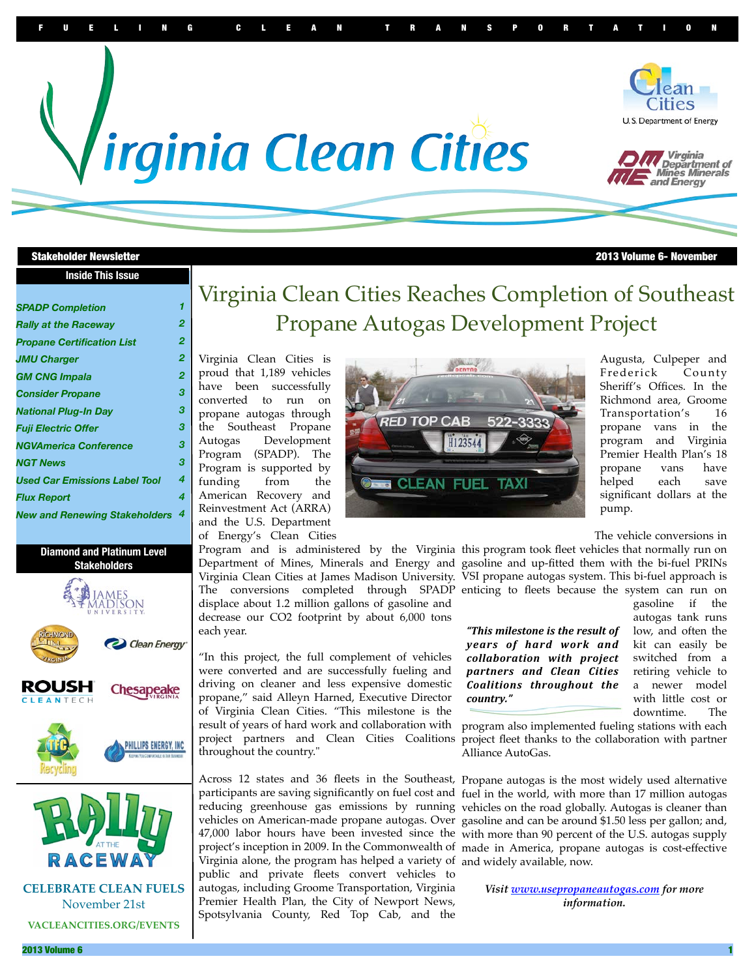

#### Stakeholder Newsletter 2013 Volume 6- November

| <b>Inside This Issue</b> |
|--------------------------|
|--------------------------|

| <b>SPADP Completion</b>              | 1 |
|--------------------------------------|---|
| <b>Rally at the Raceway</b>          | 2 |
| <b>Propane Certification List</b>    | 2 |
| <b>JMU Charger</b>                   | 2 |
| <b>GM CNG Impala</b>                 | 2 |
| <b>Consider Propane</b>              | 3 |
| <b>National Plug-In Day</b>          | 3 |
| <b>Fuii Electric Offer</b>           | 3 |
| <b>NGVAmerica Conference</b>         | 3 |
| <b>NGT News</b>                      | 3 |
| <b>Used Car Emissions Label Tool</b> | 4 |
| <b>Flux Report</b>                   | 4 |
| <b>New and Renewing Stakeholders</b> | 4 |
|                                      |   |

#### **Diamond and Platinum Level Stakeholders**



**CELEBRATE CLEAN FUELS** November 21st **VACLEANCITIES.ORG/EVENTS**

 $C E$ 

# Virginia Clean Cities Reaches Completion of Southeast Propane Autogas Development Project

Virginia Clean Cities is proud that 1,189 vehicles have been successfully converted to run on propane autogas through the Southeast Propane Autogas Development Program (SPADP). The Program is supported by funding from the American Recovery and Reinvestment Act (ARRA) and the U.S. Department of Energy's Clean Cities

displace about 1.2 million gallons of gasoline and decrease our CO2 footprint by about 6,000 tons each year.

"In this project, the full complement of vehicles were converted and are successfully fueling and driving on cleaner and less expensive domestic propane," said Alleyn Harned, Executive Director of Virginia Clean Cities. "This milestone is the result of years of hard work and collaboration with project partners and Clean Cities Coalitions throughout the country."

Virginia alone, the program has helped a variety of and widely available, now. public and private fleets convert vehicles to autogas, including Groome Transportation, Virginia Premier Health Plan, the City of Newport News, Spotsylvania County, Red Top Cab, and the



Augusta, Culpeper and Frederick County Sheriff's Offices. In the Richmond area, Groome Transportation's 16 propane vans in the program and Virginia Premier Health Plan's 18 propane vans have helped each save significant dollars at the pump.

The vehicle conversions in

Program and is administered by the Virginia this program took fleet vehicles that normally run on Department of Mines, Minerals and Energy and gasoline and up-fitted them with the bi-fuel PRINs Virginia Clean Cities at James Madison University. VSI propane autogas system. This bi-fuel approach is The conversions completed through SPADP enticing to fleets because the system can run on

> *"This&milestone& is&the& result&of& years of hard work and collaboration& with& project& partners& and& Clean& Cities& Coalitions& throughout& the& country."&*

gasoline if the autogas tank runs low, and often the kit can easily be switched from a retiring vehicle to a newer model with little cost or downtime. The

program also implemented fueling stations with each project fleet thanks to the collaboration with partner Alliance AutoGas.

Across 12 states and 36 fleets in the Southeast, Propane autogas is the most widely used alternative participants are saving significantly on fuel cost and fuel in the world, with more than 17 million autogas reducing greenhouse gas emissions by running vehicles on the road globally. Autogas is cleaner than vehicles on American-made propane autogas. Over gasoline and can be around \$1.50 less per gallon; and, 47,000 labor hours have been invested since the with more than 90 percent of the U.S. autogas supply project's inception in 2009. In the Commonwealth of made in America, propane autogas is cost-effective

> *Visit [www.usepropaneautogas.com](http://www.usepropaneautogas.com) for more information.*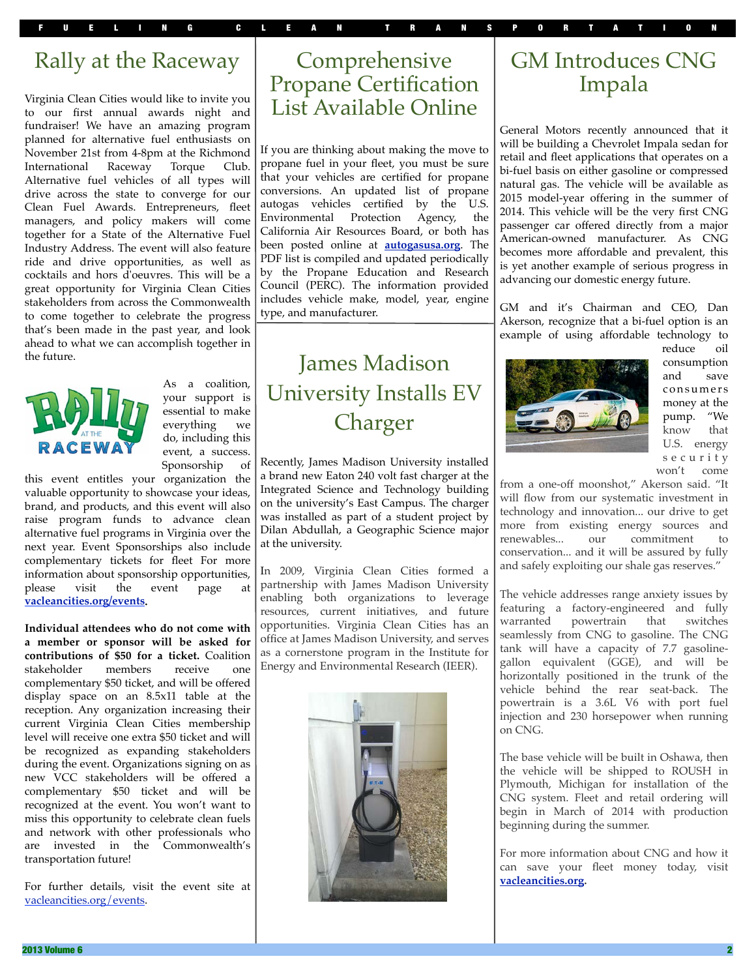FUELING CLEAN TRANSPORTATION

## Rally at the Raceway

Virginia Clean Cities would like to invite you to our first annual awards night and fundraiser! We have an amazing program planned for alternative fuel enthusiasts on November 21st from 4-8pm at the Richmond International Raceway Torque Club. Alternative fuel vehicles of all types will drive across the state to converge for our Clean Fuel Awards. Entrepreneurs, fleet managers, and policy makers will come together for a State of the Alternative Fuel Industry Address. The event will also feature ride and drive opportunities, as well as cocktails and hors d'oeuvres. This will be a great opportunity for Virginia Clean Cities stakeholders from across the Commonwealth to come together to celebrate the progress that's been made in the past year, and look ahead to what we can accomplish together in the future.



As a coalition, your support is essential to make everything we do, including this event, a success. Sponsorship of

this event entitles your organization the valuable opportunity to showcase your ideas, brand, and products, and this event will also raise program funds to advance clean alternative fuel programs in Virginia over the next year. Event Sponsorships also include complementary tickets for fleet For more information about sponsorship opportunities, please visit the event page at **[vacleancities.org/events.](http://vacleancities.org/events)** 

**Individual attendees who do not come with a member or sponsor will be asked for contributions of \$50 for a ticket.** Coalition stakeholder members receive one stakeholder members receive one complementary \$50 ticket, and will be offered display space on an 8.5x11 table at the reception. Any organization increasing their current Virginia Clean Cities membership level will receive one extra \$50 ticket and will be recognized as expanding stakeholders during the event. Organizations signing on as new VCC stakeholders will be offered a complementary \$50 ticket and will be recognized at the event. You won't want to miss this opportunity to celebrate clean fuels and network with other professionals who are invested in the Commonwealth's transportation future!

For further details, visit the event site at [vacleancities.org/events.](http://vacleancities.org/events)

## Comprehensive Propane Certification List Available Online

If you are thinking about making the move to propane fuel in your fleet, you must be sure that your vehicles are certified for propane conversions. An updated list of propane autogas vehicles certified by the U.S. Environmental Protection Agency, the California Air Resources Board, or both has been posted online at **[autogasusa.org](http://www.autogasusa.org/)**. The PDF list is compiled and updated periodically by the Propane Education and Research Council (PERC). The information provided includes vehicle make, model, year, engine type, and manufacturer.

# James Madison University Installs EV Charger

Recently, James Madison University installed a brand new Eaton 240 volt fast charger at the Integrated Science and Technology building on the university's East Campus. The charger was installed as part of a student project by Dilan Abdullah, a Geographic Science major at the university.

In 2009, Virginia Clean Cities formed a partnership with James Madison University enabling both organizations to leverage resources, current initiatives, and future opportunities. Virginia Clean Cities has an office at James Madison University, and serves as a cornerstone program in the Institute for Energy and Environmental Research (IEER).



# GM Introduces CNG Impala

General Motors recently announced that it will be building a Chevrolet Impala sedan for retail and fleet applications that operates on a bi-fuel basis on either gasoline or compressed natural gas. The vehicle will be available as 2015 model-year offering in the summer of 2014. This vehicle will be the very first CNG passenger car offered directly from a major American-owned manufacturer. As CNG becomes more affordable and prevalent, this is yet another example of serious progress in advancing our domestic energy future.

GM and it's Chairman and CEO, Dan Akerson, recognize that a bi-fuel option is an example of using affordable technology to



reduce oil consumption and save con su mers money at the pump. "We know that U.S. energy s e c u r i t y won't come

from a one-off moonshot," Akerson said. "It will flow from our systematic investment in technology and innovation... our drive to get more from existing energy sources and renewables... our commitment to conservation... and it will be assured by fully and safely exploiting our shale gas reserves."

The vehicle addresses range anxiety issues by featuring a factory-engineered and fully warranted powertrain that switches seamlessly from CNG to gasoline. The CNG tank will have a capacity of 7.7 gasolinegallon equivalent (GGE), and will be horizontally positioned in the trunk of the vehicle behind the rear seat-back. The powertrain is a 3.6L V6 with port fuel injection and 230 horsepower when running on CNG.

The base vehicle will be built in Oshawa, then the vehicle will be shipped to ROUSH in Plymouth, Michigan for installation of the CNG system. Fleet and retail ordering will begin in March of 2014 with production beginning during the summer.

For more information about CNG and how it can save your fleet money today, visit **[vacleancities.org.](http://vacleancities.org)**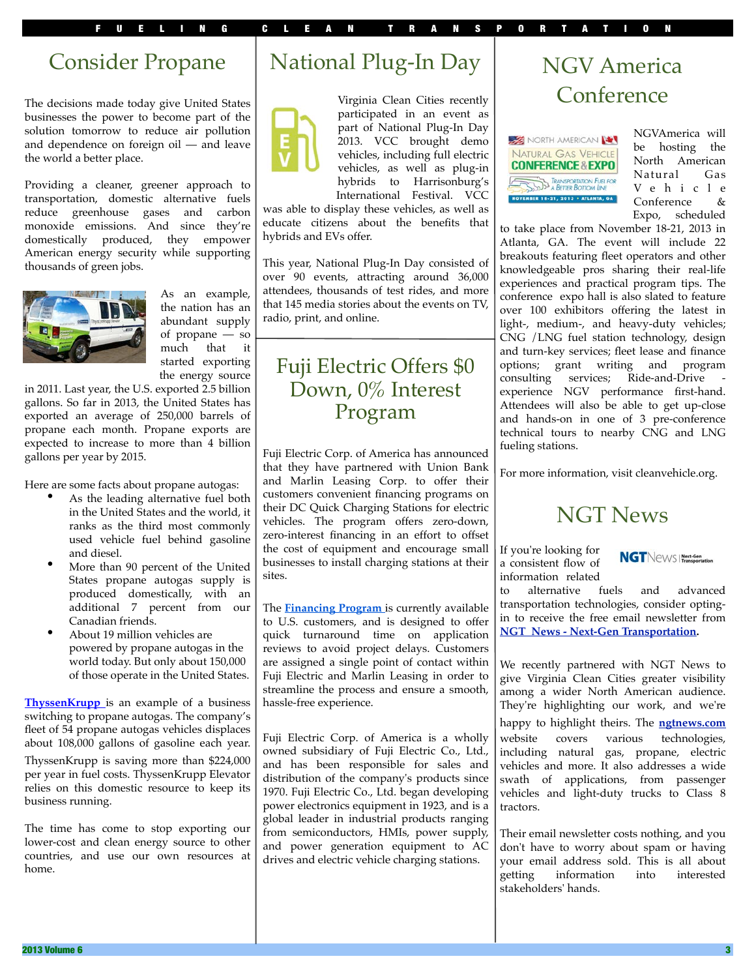# Consider Propane

The decisions made today give United States businesses the power to become part of the solution tomorrow to reduce air pollution and dependence on foreign oil — and leave the world a better place.

Providing a cleaner, greener approach to transportation, domestic alternative fuels reduce greenhouse gases and carbon monoxide emissions. And since they're domestically produced, they empower American energy security while supporting thousands of green jobs.



As an example, the nation has an abundant supply of propane — so much that it started exporting the energy source

in 2011. Last year, the U.S. exported 2.5 billion gallons. So far in 2013, the United States has exported an average of 250,000 barrels of propane each month. Propane exports are expected to increase to more than 4 billion gallons per year by 2015.

Here are some facts about propane autogas:

- As the leading alternative fuel both in the United States and the world, it ranks as the third most commonly used vehicle fuel behind gasoline and diesel.
- More than 90 percent of the United States propane autogas supply is produced domestically, with an additional 7 percent from our Canadian friends.
- About 19 million vehicles are powered by propane autogas in the world today. But only about 150,000 of those operate in the United States.

**[ThyssenKrupp](http://www.roushcleantech.com/sites/all/themes/roushcleantech/pdf/TKE_Testimonial.pdf)** is an example of a business switching to propane autogas. The company's fleet of 54 propane autogas vehicles displaces about 108,000 gallons of gasoline each year. ThyssenKrupp is saving more than \$224,000 per year in fuel costs. ThyssenKrupp Elevator relies on this domestic resource to keep its business running.

The time has come to stop exporting our lower-cost and clean energy source to other countries, and use our own resources at home.

# National Plug-In Day



Virginia Clean Cities recently participated in an event as part of National Plug-In Day 2013. VCC brought demo vehicles, including full electric vehicles, as well as plug-in hybrids to Harrisonburg's International Festival. VCC

was able to display these vehicles, as well as educate citizens about the benefits that hybrids and EVs offer.

This year, National Plug-In Day consisted of over 90 events, attracting around 36,000 attendees, thousands of test rides, and more that 145 media stories about the events on TV, radio, print, and online.

#### Fuji Electric Offers \$0 Down, 0% Interest Program

Fuji Electric Corp. of America has announced that they have partnered with Union Bank and Marlin Leasing Corp. to offer their customers convenient financing programs on their DC Quick Charging Stations for electric vehicles. The program offers zero-down, zero-interest financing in an effort to offset the cost of equipment and encourage small businesses to install charging stations at their sites.

The **[Financing Program](http://r20.rs6.net/tn.jsp?e=001or98xqV0rCO_1BEG9j3vwNpHNsLfUy-OqBHq7O45CoURHXjjDkybt1RvPL_U-0P4jLIQRGrrnVnZQAtS5xAeVZGhyX8R48_U0PvGChbydO4R0bttdN74-ZfxuTUmn2vwOaR49mEVHKXF9nivL664V4u5YKE5QyBfJYepga_Gu4MA7TH090ZEswcEJTIu2HiTr9drNCV05KpLX1vWrenz6Xoqb0hbHZkX1jGR0LJs61RlmnixOPnw8REl2FrILCp1tBkWGUV9-xu3pmmfu3TfoAhWPSkmsF654VtM0gO6oXTQkcuzd5EchNOJdixgnxYlDq2n1hHJEaICwEMJGd-_GQL5cx9VybT-4yKR3HXbnq0YC210XqU7DJpZp3Rdqlm4ELWZfOI1vq9Isc2wO1LT8NfzbJeuRt-7WSuMdq9ziCYg5tW42AsFv-mFulmyqhIMg9RRDCHVtms0ZgBfbrKgtvgmRrQ149BZr5e1NuVHx4DzeYWLnnNWsFuCt5ARMalU)** is currently available to U.S. customers, and is designed to offer quick turnaround time on application reviews to avoid project delays. Customers are assigned a single point of contact within Fuji Electric and Marlin Leasing in order to streamline the process and ensure a smooth, hassle-free experience.

Fuji Electric Corp. of America is a wholly owned subsidiary of Fuji Electric Co., Ltd., and has been responsible for sales and distribution of the company's products since 1970. Fuji Electric Co., Ltd. began developing power electronics equipment in 1923, and is a global leader in industrial products ranging from semiconductors, HMIs, power supply, and power generation equipment to AC drives and electric vehicle charging stations.

# NGV America Conference



NGVAmerica will be hosting the North American Natural Gas V e h i c l e Conference & Expo, scheduled

to take place from November 18-21, 2013 in Atlanta, GA. The event will include 22 breakouts featuring fleet operators and other knowledgeable pros sharing their real-life experiences and practical program tips. The conference expo hall is also slated to feature over 100 exhibitors offering the latest in light-, medium-, and heavy-duty vehicles; CNG /LNG fuel station technology, design and turn-key services; fleet lease and finance options; grant writing and program consulting services; Ride-and-Drive experience NGV performance first-hand. Attendees will also be able to get up-close and hands-on in one of 3 pre-conference technical tours to nearby CNG and LNG fueling stations.

For more information, visit cleanvehicle.org.

# NGT News

If you're looking for a consistent flow of information related



to alternative fuels and advanced transportation technologies, consider optingin to receive the free email newsletter from **[NGT News - Next-Gen Transportation.](http://www.ngtnews.com/subscribe/optin.php)**

We recently partnered with NGT News to give Virginia Clean Cities greater visibility among a wider North American audience. They're highlighting our work, and we're happy to highlight theirs. The **[ngtnews.com](http://ngtnews.com)** website covers various technologies, including natural gas, propane, electric vehicles and more. It also addresses a wide swath of applications, from passenger vehicles and light-duty trucks to Class 8 tractors.

Their email newsletter costs nothing, and you don't have to worry about spam or having your email address sold. This is all about getting information into interested stakeholders' hands.